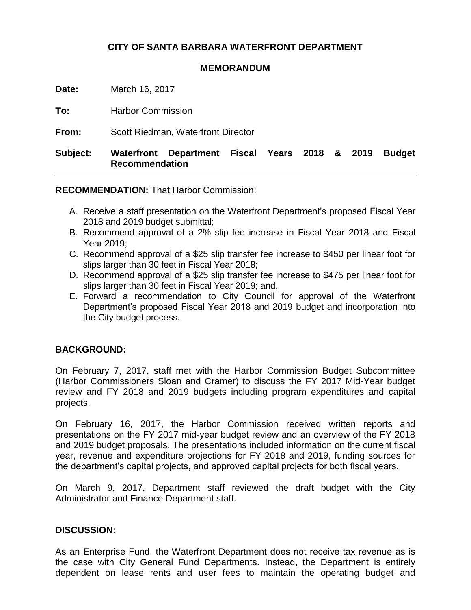## **CITY OF SANTA BARBARA WATERFRONT DEPARTMENT**

#### **MEMORANDUM**

**Date:** March 16, 2017

**To:** Harbor Commission

**From:** Scott Riedman, Waterfront Director

# **Subject: Waterfront Department Fiscal Years 2018 & 2019 Budget Recommendation**

**RECOMMENDATION:** That Harbor Commission:

- A. Receive a staff presentation on the Waterfront Department's proposed Fiscal Year 2018 and 2019 budget submittal;
- B. Recommend approval of a 2% slip fee increase in Fiscal Year 2018 and Fiscal Year 2019;
- C. Recommend approval of a \$25 slip transfer fee increase to \$450 per linear foot for slips larger than 30 feet in Fiscal Year 2018;
- D. Recommend approval of a \$25 slip transfer fee increase to \$475 per linear foot for slips larger than 30 feet in Fiscal Year 2019; and,
- E. Forward a recommendation to City Council for approval of the Waterfront Department's proposed Fiscal Year 2018 and 2019 budget and incorporation into the City budget process.

## **BACKGROUND:**

On February 7, 2017, staff met with the Harbor Commission Budget Subcommittee (Harbor Commissioners Sloan and Cramer) to discuss the FY 2017 Mid-Year budget review and FY 2018 and 2019 budgets including program expenditures and capital projects.

On February 16, 2017, the Harbor Commission received written reports and presentations on the FY 2017 mid-year budget review and an overview of the FY 2018 and 2019 budget proposals. The presentations included information on the current fiscal year, revenue and expenditure projections for FY 2018 and 2019, funding sources for the department's capital projects, and approved capital projects for both fiscal years.

On March 9, 2017, Department staff reviewed the draft budget with the City Administrator and Finance Department staff.

## **DISCUSSION:**

As an Enterprise Fund, the Waterfront Department does not receive tax revenue as is the case with City General Fund Departments. Instead, the Department is entirely dependent on lease rents and user fees to maintain the operating budget and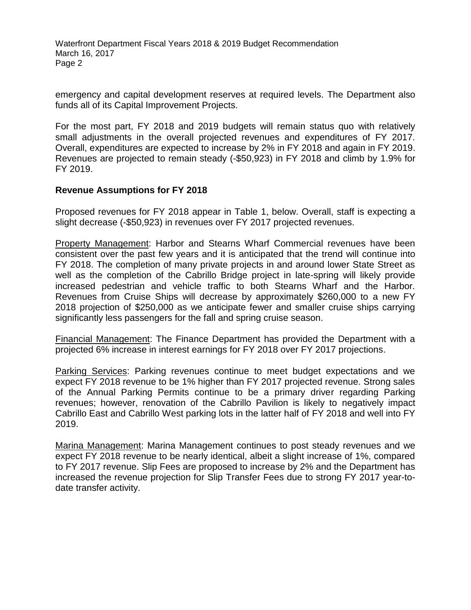emergency and capital development reserves at required levels. The Department also funds all of its Capital Improvement Projects.

For the most part, FY 2018 and 2019 budgets will remain status quo with relatively small adjustments in the overall projected revenues and expenditures of FY 2017. Overall, expenditures are expected to increase by 2% in FY 2018 and again in FY 2019. Revenues are projected to remain steady (-\$50,923) in FY 2018 and climb by 1.9% for FY 2019.

## **Revenue Assumptions for FY 2018**

Proposed revenues for FY 2018 appear in Table 1, below. Overall, staff is expecting a slight decrease (-\$50,923) in revenues over FY 2017 projected revenues.

Property Management: Harbor and Stearns Wharf Commercial revenues have been consistent over the past few years and it is anticipated that the trend will continue into FY 2018. The completion of many private projects in and around lower State Street as well as the completion of the Cabrillo Bridge project in late-spring will likely provide increased pedestrian and vehicle traffic to both Stearns Wharf and the Harbor. Revenues from Cruise Ships will decrease by approximately \$260,000 to a new FY 2018 projection of \$250,000 as we anticipate fewer and smaller cruise ships carrying significantly less passengers for the fall and spring cruise season.

Financial Management: The Finance Department has provided the Department with a projected 6% increase in interest earnings for FY 2018 over FY 2017 projections.

Parking Services: Parking revenues continue to meet budget expectations and we expect FY 2018 revenue to be 1% higher than FY 2017 projected revenue. Strong sales of the Annual Parking Permits continue to be a primary driver regarding Parking revenues; however, renovation of the Cabrillo Pavilion is likely to negatively impact Cabrillo East and Cabrillo West parking lots in the latter half of FY 2018 and well into FY 2019.

Marina Management: Marina Management continues to post steady revenues and we expect FY 2018 revenue to be nearly identical, albeit a slight increase of 1%, compared to FY 2017 revenue. Slip Fees are proposed to increase by 2% and the Department has increased the revenue projection for Slip Transfer Fees due to strong FY 2017 year-todate transfer activity.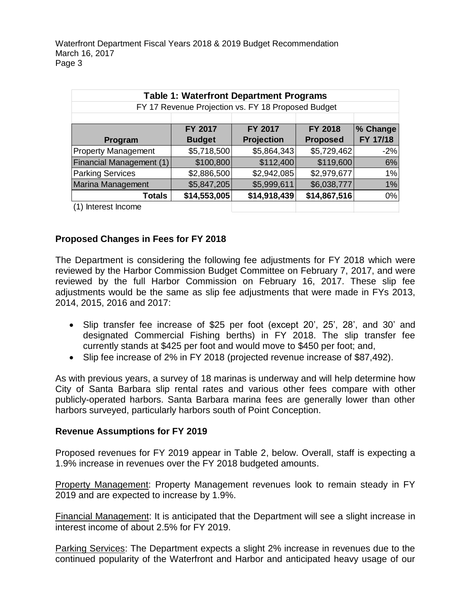| <b>Table 1: Waterfront Department Programs</b>     |               |                   |                 |          |  |
|----------------------------------------------------|---------------|-------------------|-----------------|----------|--|
| FY 17 Revenue Projection vs. FY 18 Proposed Budget |               |                   |                 |          |  |
|                                                    |               |                   |                 |          |  |
|                                                    | FY 2017       | FY 2017           | FY 2018         | % Change |  |
| Program                                            | <b>Budget</b> | <b>Projection</b> | <b>Proposed</b> | FY 17/18 |  |
| <b>Property Management</b>                         | \$5,718,500   | \$5,864,343       | \$5,729,462     | $-2%$    |  |
| <b>Financial Management (1)</b>                    | \$100,800     | \$112,400         | \$119,600       | 6%       |  |
| <b>Parking Services</b>                            | \$2,886,500   | \$2,942,085       | \$2,979,677     | 1%       |  |
| <b>Marina Management</b>                           | \$5,847,205   | \$5,999,611       | \$6,038,777     | 1%       |  |
| Totals                                             | \$14,553,005  | \$14,918,439      | \$14,867,516    | 0%       |  |
| Interest Income                                    |               |                   |                 |          |  |

## **Proposed Changes in Fees for FY 2018**

The Department is considering the following fee adjustments for FY 2018 which were reviewed by the Harbor Commission Budget Committee on February 7, 2017, and were reviewed by the full Harbor Commission on February 16, 2017. These slip fee adjustments would be the same as slip fee adjustments that were made in FYs 2013, 2014, 2015, 2016 and 2017:

- Slip transfer fee increase of \$25 per foot (except 20', 25', 28', and 30' and designated Commercial Fishing berths) in FY 2018. The slip transfer fee currently stands at \$425 per foot and would move to \$450 per foot; and,
- Slip fee increase of 2% in FY 2018 (projected revenue increase of \$87,492).

As with previous years, a survey of 18 marinas is underway and will help determine how City of Santa Barbara slip rental rates and various other fees compare with other publicly-operated harbors. Santa Barbara marina fees are generally lower than other harbors surveyed, particularly harbors south of Point Conception.

#### **Revenue Assumptions for FY 2019**

Proposed revenues for FY 2019 appear in Table 2, below. Overall, staff is expecting a 1.9% increase in revenues over the FY 2018 budgeted amounts.

Property Management: Property Management revenues look to remain steady in FY 2019 and are expected to increase by 1.9%.

Financial Management: It is anticipated that the Department will see a slight increase in interest income of about 2.5% for FY 2019.

Parking Services: The Department expects a slight 2% increase in revenues due to the continued popularity of the Waterfront and Harbor and anticipated heavy usage of our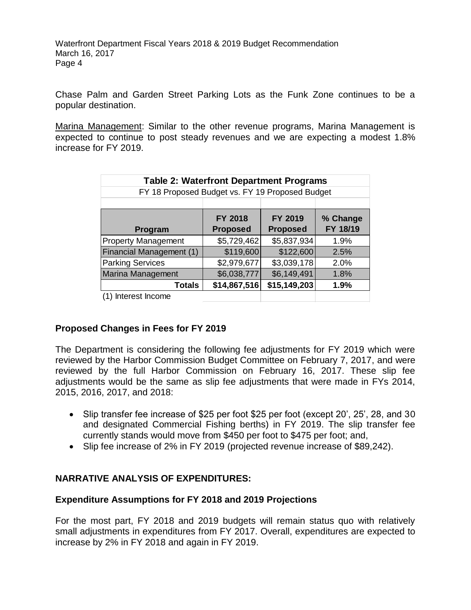Chase Palm and Garden Street Parking Lots as the Funk Zone continues to be a popular destination.

Marina Management: Similar to the other revenue programs, Marina Management is expected to continue to post steady revenues and we are expecting a modest 1.8% increase for FY 2019.

| <b>Table 2: Waterfront Department Programs</b>  |                 |                 |          |  |  |  |
|-------------------------------------------------|-----------------|-----------------|----------|--|--|--|
| FY 18 Proposed Budget vs. FY 19 Proposed Budget |                 |                 |          |  |  |  |
|                                                 |                 |                 |          |  |  |  |
|                                                 | FY 2018         | FY 2019         | % Change |  |  |  |
| Program                                         | <b>Proposed</b> | <b>Proposed</b> | FY 18/19 |  |  |  |
| <b>Property Management</b>                      | \$5,729,462     | \$5,837,934     | 1.9%     |  |  |  |
| Financial Management (1)                        | \$119,600       | \$122,600       | 2.5%     |  |  |  |
| <b>Parking Services</b>                         | \$2,979,677     | \$3,039,178     | 2.0%     |  |  |  |
| <b>Marina Management</b>                        | \$6,038,777     | \$6,149,491     | 1.8%     |  |  |  |
| <b>Totals</b>                                   | \$14,867,516    | \$15,149,203    | 1.9%     |  |  |  |
| Interest Income                                 |                 |                 |          |  |  |  |

## **Proposed Changes in Fees for FY 2019**

The Department is considering the following fee adjustments for FY 2019 which were reviewed by the Harbor Commission Budget Committee on February 7, 2017, and were reviewed by the full Harbor Commission on February 16, 2017. These slip fee adjustments would be the same as slip fee adjustments that were made in FYs 2014, 2015, 2016, 2017, and 2018:

- Slip transfer fee increase of \$25 per foot \$25 per foot (except 20', 25', 28, and 30 and designated Commercial Fishing berths) in FY 2019. The slip transfer fee currently stands would move from \$450 per foot to \$475 per foot; and,
- Slip fee increase of 2% in FY 2019 (projected revenue increase of \$89,242).

# **NARRATIVE ANALYSIS OF EXPENDITURES:**

## **Expenditure Assumptions for FY 2018 and 2019 Projections**

For the most part, FY 2018 and 2019 budgets will remain status quo with relatively small adjustments in expenditures from FY 2017. Overall, expenditures are expected to increase by 2% in FY 2018 and again in FY 2019.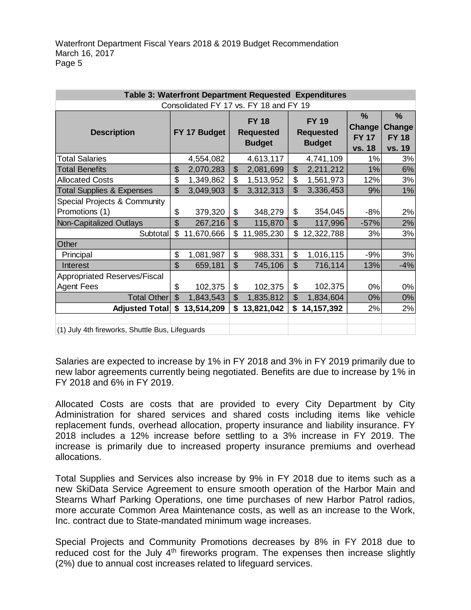| Table 3: Waterfront Department Requested Expenditures |                |                                        |                |                                                   |                |                                                   |                                                        |                                                          |
|-------------------------------------------------------|----------------|----------------------------------------|----------------|---------------------------------------------------|----------------|---------------------------------------------------|--------------------------------------------------------|----------------------------------------------------------|
|                                                       |                | Consolidated FY 17 vs. FY 18 and FY 19 |                |                                                   |                |                                                   |                                                        |                                                          |
| <b>Description</b>                                    |                | FY 17 Budget                           |                | <b>FY 18</b><br><b>Requested</b><br><b>Budget</b> |                | <b>FY 19</b><br><b>Requested</b><br><b>Budget</b> | $\%$<br><b>Change</b><br><b>FY 17</b><br><b>vs. 18</b> | $\frac{0}{0}$<br><b>Change</b><br><b>FY 18</b><br>vs. 19 |
| <b>Total Salaries</b>                                 |                | 4,554,082                              |                | 4,613,117                                         |                | 4,741,109                                         | $1\%$                                                  | 3%                                                       |
| <b>Total Benefits</b>                                 | \$             | 2,070,283                              | \$             | 2,081,699                                         | $\mathfrak{S}$ | 2,211,212                                         | 1%                                                     | 6%                                                       |
| <b>Allocated Costs</b>                                | \$             | 1,349,862                              | \$             | 1,513,952                                         | \$             | 1,561,973                                         | 12%                                                    | 3%                                                       |
| <b>Total Supplies &amp; Expenses</b>                  | \$             | 3,049,903                              | \$             | 3,312,313                                         | $\mathfrak{S}$ | 3,336,453                                         | 9%                                                     | 1%                                                       |
| Special Projects & Community                          |                |                                        |                |                                                   |                |                                                   |                                                        |                                                          |
| Promotions (1)                                        | \$             | 379,320                                | \$             | 348,279                                           | \$             | 354,045                                           | $-8%$                                                  | 2%                                                       |
| Non-Capitalized Outlays                               | $\mathfrak{D}$ | 267,216                                | \$             | 115,870                                           | $\mathfrak{S}$ | 117,996                                           | $-57%$                                                 | 2%                                                       |
| Subtotal                                              | \$             | 11,670,666                             |                | 11,985,230                                        | \$             | 12,322,788                                        | 3%                                                     | 3%                                                       |
| Other                                                 |                |                                        |                |                                                   |                |                                                   |                                                        |                                                          |
| Principal                                             | \$             | 1,081,987                              | \$             | 988,331                                           | \$             | 1,016,115                                         | $-9%$                                                  | 3%                                                       |
| Interest                                              | $\mathfrak{L}$ | 659,181                                | $\mathfrak{L}$ | 745,106                                           | $\mathfrak{S}$ | 716,114                                           | 13%                                                    | $-4%$                                                    |
| <b>Appropriated Reserves/Fiscal</b>                   |                |                                        |                |                                                   |                |                                                   |                                                        |                                                          |
| <b>Agent Fees</b>                                     | \$             | 102,375                                | \$             | 102,375                                           | \$             | 102,375                                           | 0%                                                     | 0%                                                       |
| <b>Total Other</b>                                    | $\mathfrak{S}$ | 1,843,543                              | $\mathfrak{S}$ | 1,835,812                                         | $\mathfrak{S}$ | 1,834,604                                         | $0\%$                                                  | 0%                                                       |
| <b>Adjusted Total</b>                                 | \$             | 13,514,209                             | \$             | 13,821,042                                        | \$             | 14, 157, 392                                      | 2%                                                     | 2%                                                       |
|                                                       |                |                                        |                |                                                   |                |                                                   |                                                        |                                                          |
| (1) July 4th fireworks, Shuttle Bus, Lifeguards       |                |                                        |                |                                                   |                |                                                   |                                                        |                                                          |

Salaries are expected to increase by 1% in FY 2018 and 3% in FY 2019 primarily due to new labor agreements currently being negotiated. Benefits are due to increase by 1% in FY 2018 and 6% in FY 2019.

Allocated Costs are costs that are provided to every City Department by City Administration for shared services and shared costs including items like vehicle replacement funds, overhead allocation, property insurance and liability insurance. FY 2018 includes a 12% increase before settling to a 3% increase in FY 2019. The increase is primarily due to increased property insurance premiums and overhead allocations.

Total Supplies and Services also increase by 9% in FY 2018 due to items such as a new SkiData Service Agreement to ensure smooth operation of the Harbor Main and Stearns Wharf Parking Operations, one time purchases of new Harbor Patrol radios, more accurate Common Area Maintenance costs, as well as an increase to the Work, Inc. contract due to State-mandated minimum wage increases.

Special Projects and Community Promotions decreases by 8% in FY 2018 due to reduced cost for the July  $4<sup>th</sup>$  fireworks program. The expenses then increase slightly (2%) due to annual cost increases related to lifeguard services.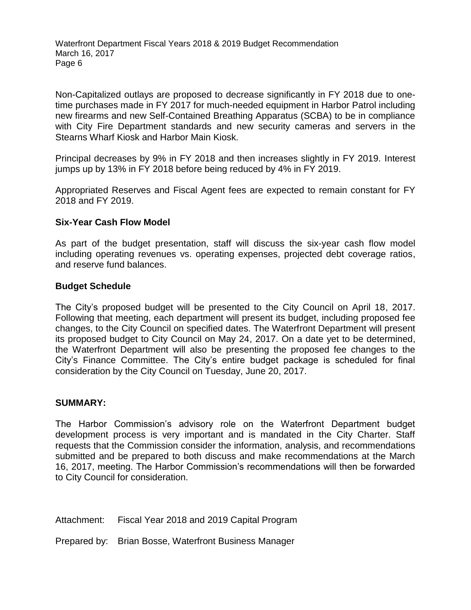Non-Capitalized outlays are proposed to decrease significantly in FY 2018 due to onetime purchases made in FY 2017 for much-needed equipment in Harbor Patrol including new firearms and new Self-Contained Breathing Apparatus (SCBA) to be in compliance with City Fire Department standards and new security cameras and servers in the Stearns Wharf Kiosk and Harbor Main Kiosk.

Principal decreases by 9% in FY 2018 and then increases slightly in FY 2019. Interest jumps up by 13% in FY 2018 before being reduced by 4% in FY 2019.

Appropriated Reserves and Fiscal Agent fees are expected to remain constant for FY 2018 and FY 2019.

#### **Six-Year Cash Flow Model**

As part of the budget presentation, staff will discuss the six-year cash flow model including operating revenues vs. operating expenses, projected debt coverage ratios, and reserve fund balances.

#### **Budget Schedule**

The City's proposed budget will be presented to the City Council on April 18, 2017. Following that meeting, each department will present its budget, including proposed fee changes, to the City Council on specified dates. The Waterfront Department will present its proposed budget to City Council on May 24, 2017. On a date yet to be determined, the Waterfront Department will also be presenting the proposed fee changes to the City's Finance Committee. The City's entire budget package is scheduled for final consideration by the City Council on Tuesday, June 20, 2017.

#### **SUMMARY:**

The Harbor Commission's advisory role on the Waterfront Department budget development process is very important and is mandated in the City Charter. Staff requests that the Commission consider the information, analysis, and recommendations submitted and be prepared to both discuss and make recommendations at the March 16, 2017, meeting. The Harbor Commission's recommendations will then be forwarded to City Council for consideration.

Attachment: Fiscal Year 2018 and 2019 Capital Program

Prepared by: Brian Bosse, Waterfront Business Manager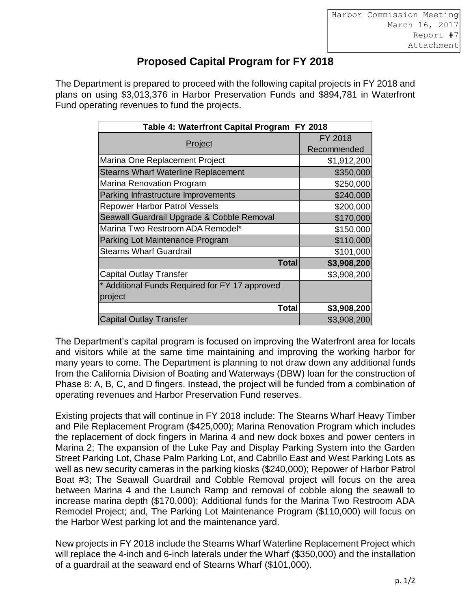# **Proposed Capital Program for FY 2018**

The Department is prepared to proceed with the following capital projects in FY 2018 and plans on using \$3,013,376 in Harbor Preservation Funds and \$894,781 in Waterfront Fund operating revenues to fund the projects.

| Table 4: Waterfront Capital Program FY 2018                                                                                                                                                                                                                                                                                                                                                                                                                                                                                                                                                                                                                                                                                                                                                                                                                               |              |             |
|---------------------------------------------------------------------------------------------------------------------------------------------------------------------------------------------------------------------------------------------------------------------------------------------------------------------------------------------------------------------------------------------------------------------------------------------------------------------------------------------------------------------------------------------------------------------------------------------------------------------------------------------------------------------------------------------------------------------------------------------------------------------------------------------------------------------------------------------------------------------------|--------------|-------------|
|                                                                                                                                                                                                                                                                                                                                                                                                                                                                                                                                                                                                                                                                                                                                                                                                                                                                           |              | FY 2018     |
|                                                                                                                                                                                                                                                                                                                                                                                                                                                                                                                                                                                                                                                                                                                                                                                                                                                                           | Project      |             |
| Marina One Replacement Project                                                                                                                                                                                                                                                                                                                                                                                                                                                                                                                                                                                                                                                                                                                                                                                                                                            |              | \$1,912,200 |
| <b>Stearns Wharf Waterline Replacement</b>                                                                                                                                                                                                                                                                                                                                                                                                                                                                                                                                                                                                                                                                                                                                                                                                                                |              | \$350,000   |
| Marina Renovation Program                                                                                                                                                                                                                                                                                                                                                                                                                                                                                                                                                                                                                                                                                                                                                                                                                                                 |              | \$250,000   |
| Parking Infrastructure Improvements                                                                                                                                                                                                                                                                                                                                                                                                                                                                                                                                                                                                                                                                                                                                                                                                                                       |              | \$240,000   |
| <b>Repower Harbor Patrol Vessels</b>                                                                                                                                                                                                                                                                                                                                                                                                                                                                                                                                                                                                                                                                                                                                                                                                                                      |              | \$200,000   |
| Seawall Guardrail Upgrade & Cobble Removal                                                                                                                                                                                                                                                                                                                                                                                                                                                                                                                                                                                                                                                                                                                                                                                                                                |              | \$170,000   |
| Marina Two Restroom ADA Remodel*                                                                                                                                                                                                                                                                                                                                                                                                                                                                                                                                                                                                                                                                                                                                                                                                                                          |              | \$150,000   |
| Parking Lot Maintenance Program                                                                                                                                                                                                                                                                                                                                                                                                                                                                                                                                                                                                                                                                                                                                                                                                                                           |              | \$110,000   |
| <b>Stearns Wharf Guardrail</b>                                                                                                                                                                                                                                                                                                                                                                                                                                                                                                                                                                                                                                                                                                                                                                                                                                            |              | \$101,000   |
|                                                                                                                                                                                                                                                                                                                                                                                                                                                                                                                                                                                                                                                                                                                                                                                                                                                                           | <b>Total</b> | \$3,908,200 |
| <b>Capital Outlay Transfer</b>                                                                                                                                                                                                                                                                                                                                                                                                                                                                                                                                                                                                                                                                                                                                                                                                                                            |              | \$3,908,200 |
| * Additional Funds Required for FY 17 approved                                                                                                                                                                                                                                                                                                                                                                                                                                                                                                                                                                                                                                                                                                                                                                                                                            |              |             |
| project                                                                                                                                                                                                                                                                                                                                                                                                                                                                                                                                                                                                                                                                                                                                                                                                                                                                   |              |             |
|                                                                                                                                                                                                                                                                                                                                                                                                                                                                                                                                                                                                                                                                                                                                                                                                                                                                           | <b>Total</b> | \$3,908,200 |
| <b>Capital Outlay Transfer</b>                                                                                                                                                                                                                                                                                                                                                                                                                                                                                                                                                                                                                                                                                                                                                                                                                                            |              | \$3,908,200 |
| from the California Division of Boating and Waterways (DBW) loan for the cons<br>Phase 8: A, B, C, and D fingers. Instead, the project will be funded from a com<br>operating revenues and Harbor Preservation Fund reserves.<br>Existing projects that will continue in FY 2018 include: The Stearns Wharf Hea<br>and Pile Replacement Program (\$425,000); Marina Renovation Program whic<br>the replacement of dock fingers in Marina 4 and new dock boxes and power<br>Marina 2; The expansion of the Luke Pay and Display Parking System into th<br>Street Parking Lot, Chase Palm Parking Lot, and Cabrillo East and West Parki<br>well as new security cameras in the parking kiosks (\$240,000); Repower of Ha<br>Boat #3; The Seawall Guardrail and Cobble Removal project will focus or<br>between Marina 4 and the Launch Ramp and removal of cobble along the |              |             |
| increase marina depth (\$170,000); Additional funds for the Marina Two Resti<br>Remodel Project; and, The Parking Lot Maintenance Program (\$110,000) wil<br>the Harbor West parking lot and the maintenance yard.<br>New projects in FY 2018 include the Stearns Wharf Waterline Replacement Pro<br>will replace the 4-inch and 6-inch laterals under the Wharf (\$350,000) and the i                                                                                                                                                                                                                                                                                                                                                                                                                                                                                    |              |             |
| of a guardrail at the seaward end of Stearns Wharf (\$101,000).                                                                                                                                                                                                                                                                                                                                                                                                                                                                                                                                                                                                                                                                                                                                                                                                           |              |             |

The Department's capital program is focused on improving the Waterfront area for locals and visitors while at the same time maintaining and improving the working harbor for many years to come. The Department is planning to not draw down any additional funds from the California Division of Boating and Waterways (DBW) loan for the construction of Phase 8: A, B, C, and D fingers. Instead, the project will be funded from a combination of operating revenues and Harbor Preservation Fund reserves.

Existing projects that will continue in FY 2018 include: The Stearns Wharf Heavy Timber and Pile Replacement Program (\$425,000); Marina Renovation Program which includes the replacement of dock fingers in Marina 4 and new dock boxes and power centers in Marina 2; The expansion of the Luke Pay and Display Parking System into the Garden Street Parking Lot, Chase Palm Parking Lot, and Cabrillo East and West Parking Lots as well as new security cameras in the parking kiosks (\$240,000); Repower of Harbor Patrol Boat #3; The Seawall Guardrail and Cobble Removal project will focus on the area between Marina 4 and the Launch Ramp and removal of cobble along the seawall to increase marina depth (\$170,000); Additional funds for the Marina Two Restroom ADA Remodel Project; and, The Parking Lot Maintenance Program (\$110,000) will focus on the Harbor West parking lot and the maintenance yard.

New projects in FY 2018 include the Stearns Wharf Waterline Replacement Project which will replace the 4-inch and 6-inch laterals under the Wharf (\$350,000) and the installation